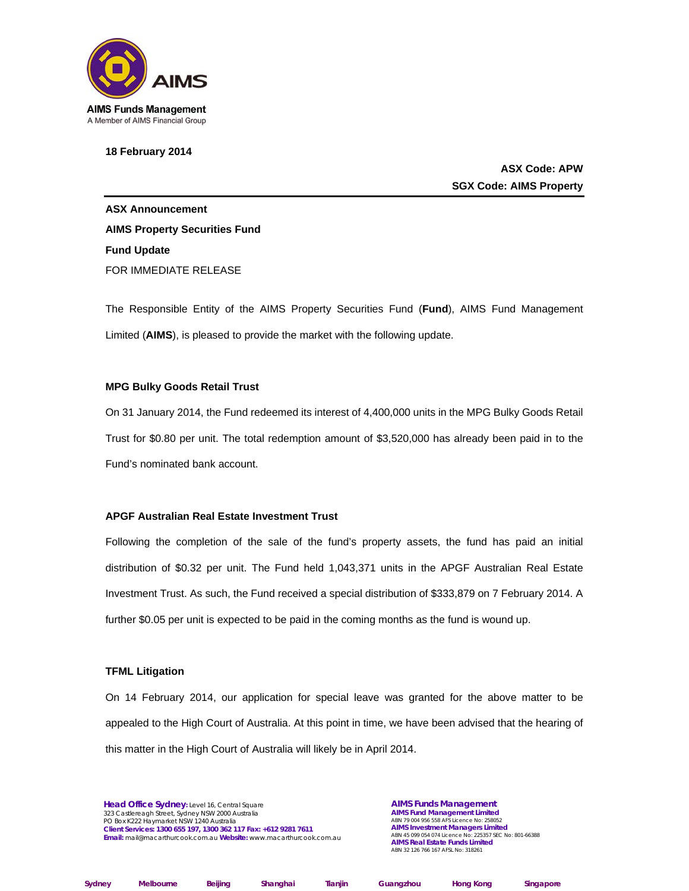

**18 February 2014** 

**ASX Code: APW SGX Code: AIMS Property** 

**ASX Announcement AIMS Property Securities Fund Fund Update**  FOR IMMEDIATE RELEASE

The Responsible Entity of the AIMS Property Securities Fund (**Fund**), AIMS Fund Management Limited (**AIMS**), is pleased to provide the market with the following update.

# **MPG Bulky Goods Retail Trust**

On 31 January 2014, the Fund redeemed its interest of 4,400,000 units in the MPG Bulky Goods Retail Trust for \$0.80 per unit. The total redemption amount of \$3,520,000 has already been paid in to the Fund's nominated bank account.

# **APGF Australian Real Estate Investment Trust**

Following the completion of the sale of the fund's property assets, the fund has paid an initial distribution of \$0.32 per unit. The Fund held 1,043,371 units in the APGF Australian Real Estate Investment Trust. As such, the Fund received a special distribution of \$333,879 on 7 February 2014. A further \$0.05 per unit is expected to be paid in the coming months as the fund is wound up.

### **TFML Litigation**

On 14 February 2014, our application for special leave was granted for the above matter to be appealed to the High Court of Australia. At this point in time, we have been advised that the hearing of this matter in the High Court of Australia will likely be in April 2014.

**Head Office Sydney:** Level 16, Central Square 323 Castlereagh Street, Sydney NSW 2000 Australia PO Box K222 Haymarket NSW 1240 Australia **Client Services: 1300 655 197, 1300 362 117 Fax: +612 9281 7611 Email:** mail@macarthurcook.com.au **Website:** www.macarthurcook.com.au

**AIMS Funds Management AIMS Fund Management Limited**  ABN 79 004 956 558 AFS Licence No: 258052 **AIMS Investment Managers Limited**  ABN 45 099 054 074 Licence No: 225357 SEC No: 801-66388 **AIMS Real Estate Funds Limited**  ABN 32 126 766 167 AFSL No: 318261

| Sydney | <b>Melbourne</b> | B٥ |
|--------|------------------|----|

**Sydney Melbourne Beijing Shanghai Tianjin Guangzhou Hong Kong Singapore**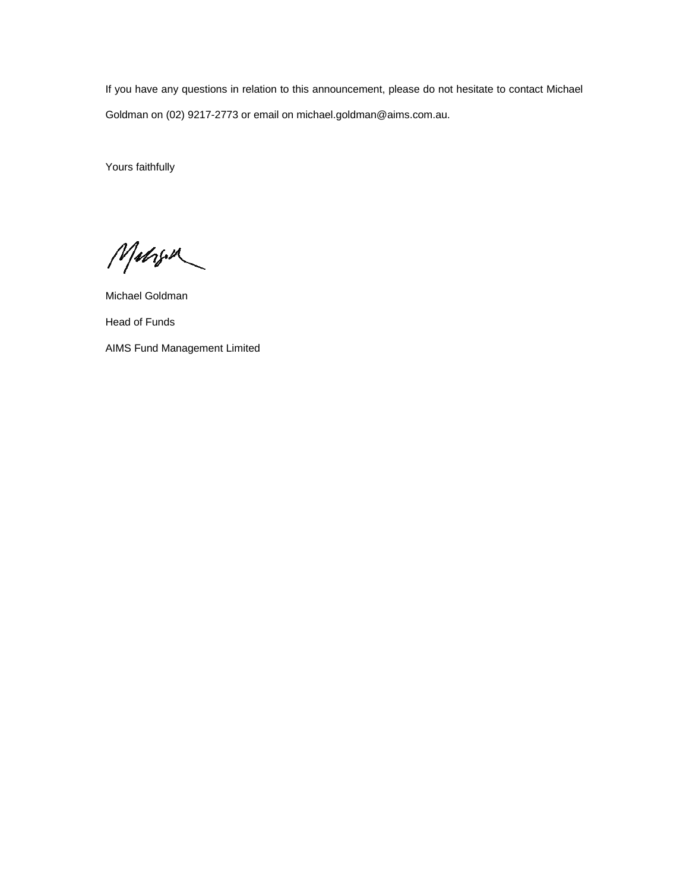If you have any questions in relation to this announcement, please do not hesitate to contact Michael Goldman on (02) 9217-2773 or email on michael.goldman@aims.com.au.

Yours faithfully

Mahon

Michael Goldman Head of Funds AIMS Fund Management Limited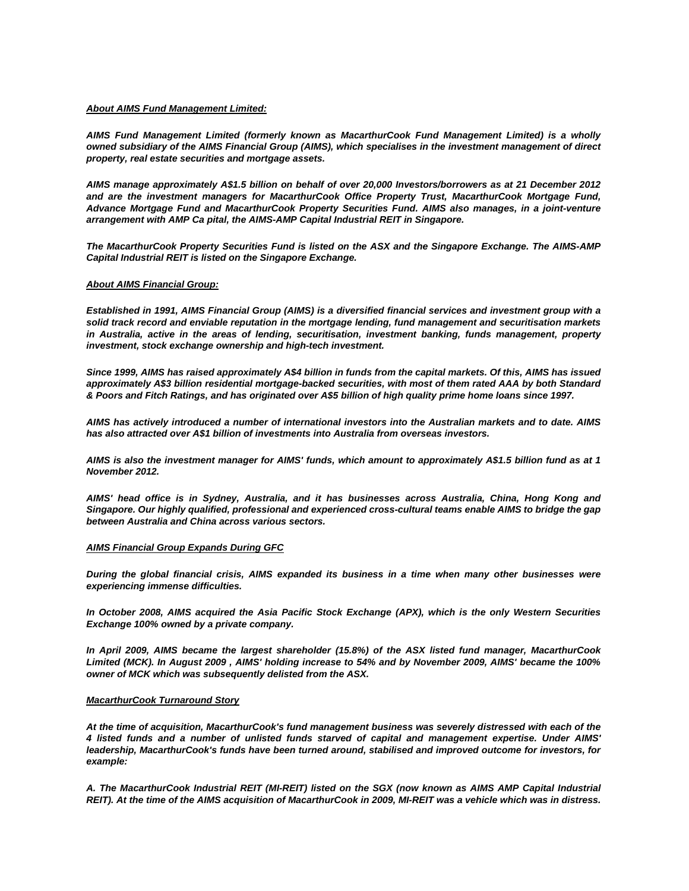#### *About AIMS Fund Management Limited:*

*AIMS Fund Management Limited (formerly known as MacarthurCook Fund Management Limited) is a wholly owned subsidiary of the AIMS Financial Group (AIMS), which specialises in the investment management of direct property, real estate securities and mortgage assets.* 

*AIMS manage approximately A\$1.5 billion on behalf of over 20,000 Investors/borrowers as at 21 December 2012 and are the investment managers for MacarthurCook Office Property Trust, MacarthurCook Mortgage Fund, Advance Mortgage Fund and MacarthurCook Property Securities Fund. AIMS also manages, in a joint-venture arrangement with AMP Ca pital, the AIMS-AMP Capital Industrial REIT in Singapore.* 

*The MacarthurCook Property Securities Fund is listed on the ASX and the Singapore Exchange. The AIMS-AMP Capital Industrial REIT is listed on the Singapore Exchange.* 

#### *About AIMS Financial Group:*

*Established in 1991, AIMS Financial Group (AIMS) is a diversified financial services and investment group with a solid track record and enviable reputation in the mortgage lending, fund management and securitisation markets in Australia, active in the areas of lending, securitisation, investment banking, funds management, property investment, stock exchange ownership and high-tech investment.* 

*Since 1999, AIMS has raised approximately A\$4 billion in funds from the capital markets. Of this, AIMS has issued approximately A\$3 billion residential mortgage-backed securities, with most of them rated AAA by both Standard & Poors and Fitch Ratings, and has originated over A\$5 billion of high quality prime home loans since 1997.* 

*AIMS has actively introduced a number of international investors into the Australian markets and to date. AIMS has also attracted over A\$1 billion of investments into Australia from overseas investors.* 

*AIMS is also the investment manager for AIMS' funds, which amount to approximately A\$1.5 billion fund as at 1 November 2012.* 

*AIMS' head office is in Sydney, Australia, and it has businesses across Australia, China, Hong Kong and Singapore. Our highly qualified, professional and experienced cross-cultural teams enable AIMS to bridge the gap between Australia and China across various sectors.* 

# *AIMS Financial Group Expands During GFC*

*During the global financial crisis, AIMS expanded its business in a time when many other businesses were experiencing immense difficulties.* 

*In October 2008, AIMS acquired the Asia Pacific Stock Exchange (APX), which is the only Western Securities Exchange 100% owned by a private company.* 

*In April 2009, AIMS became the largest shareholder (15.8%) of the ASX listed fund manager, MacarthurCook Limited (MCK). In August 2009 , AIMS' holding increase to 54% and by November 2009, AIMS' became the 100% owner of MCK which was subsequently delisted from the ASX.* 

#### *MacarthurCook Turnaround Story*

*At the time of acquisition, MacarthurCook's fund management business was severely distressed with each of the 4 listed funds and a number of unlisted funds starved of capital and management expertise. Under AIMS' leadership, MacarthurCook's funds have been turned around, stabilised and improved outcome for investors, for example:* 

*A. The MacarthurCook Industrial REIT (MI-REIT) listed on the SGX (now known as AIMS AMP Capital Industrial REIT). At the time of the AIMS acquisition of MacarthurCook in 2009, MI-REIT was a vehicle which was in distress.*